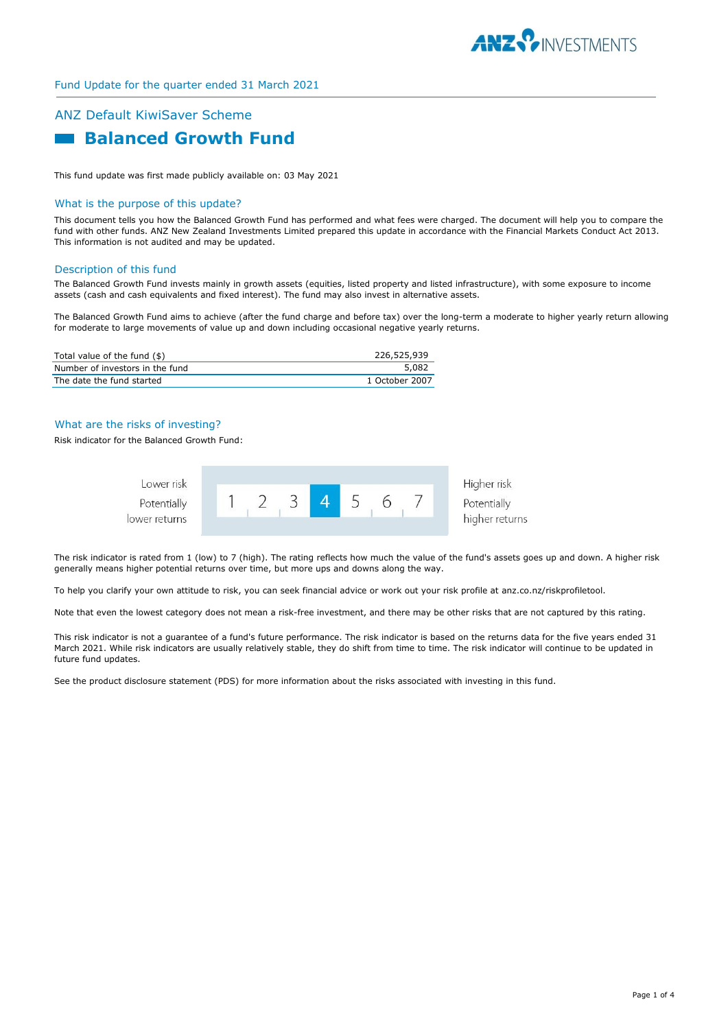

# ANZ Default KiwiSaver Scheme  **Balanced Growth Fund**

This fund update was first made publicly available on: 03 May 2021

## What is the purpose of this update?

This document tells you how the Balanced Growth Fund has performed and what fees were charged. The document will help you to compare the fund with other funds. ANZ New Zealand Investments Limited prepared this update in accordance with the Financial Markets Conduct Act 2013. This information is not audited and may be updated.

### Description of this fund

The Balanced Growth Fund invests mainly in growth assets (equities, listed property and listed infrastructure), with some exposure to income assets (cash and cash equivalents and fixed interest). The fund may also invest in alternative assets.

The Balanced Growth Fund aims to achieve (after the fund charge and before tax) over the long-term a moderate to higher yearly return allowing for moderate to large movements of value up and down including occasional negative yearly returns.

| Total value of the fund (\$)    | 226,525,939    |
|---------------------------------|----------------|
| Number of investors in the fund | 5,082          |
| The date the fund started       | 1 October 2007 |

## What are the risks of investing?

Risk indicator for the Balanced Growth Fund:



The risk indicator is rated from 1 (low) to 7 (high). The rating reflects how much the value of the fund's assets goes up and down. A higher risk generally means higher potential returns over time, but more ups and downs along the way.

To help you clarify your own attitude to risk, you can seek financial advice or work out your risk profile at anz.co.nz/riskprofiletool.

Note that even the lowest category does not mean a risk-free investment, and there may be other risks that are not captured by this rating.

This risk indicator is not a guarantee of a fund's future performance. The risk indicator is based on the returns data for the five years ended 31 March 2021. While risk indicators are usually relatively stable, they do shift from time to time. The risk indicator will continue to be updated in future fund updates.

See the product disclosure statement (PDS) for more information about the risks associated with investing in this fund.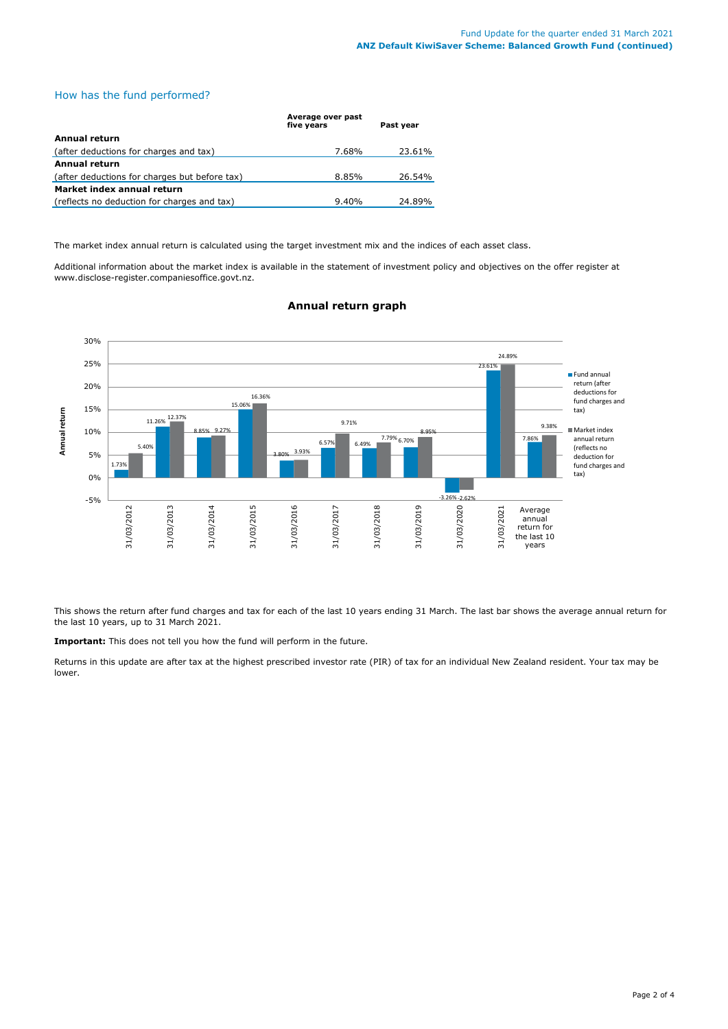## How has the fund performed?

|                                               | Average over past<br>five years | Past year |
|-----------------------------------------------|---------------------------------|-----------|
| Annual return                                 |                                 |           |
| (after deductions for charges and tax)        | 7.68%                           | 23.61%    |
| <b>Annual return</b>                          |                                 |           |
| (after deductions for charges but before tax) | 8.85%                           | 26.54%    |
| Market index annual return                    |                                 |           |
| (reflects no deduction for charges and tax)   | 9.40%                           | 24.89%    |

The market index annual return is calculated using the target investment mix and the indices of each asset class.

Additional information about the market index is available in the statement of investment policy and objectives on the offer register at www.disclose-register.companiesoffice.govt.nz.



## **Annual return graph**

This shows the return after fund charges and tax for each of the last 10 years ending 31 March. The last bar shows the average annual return for the last 10 years, up to 31 March 2021.

**Important:** This does not tell you how the fund will perform in the future.

Returns in this update are after tax at the highest prescribed investor rate (PIR) of tax for an individual New Zealand resident. Your tax may be lower.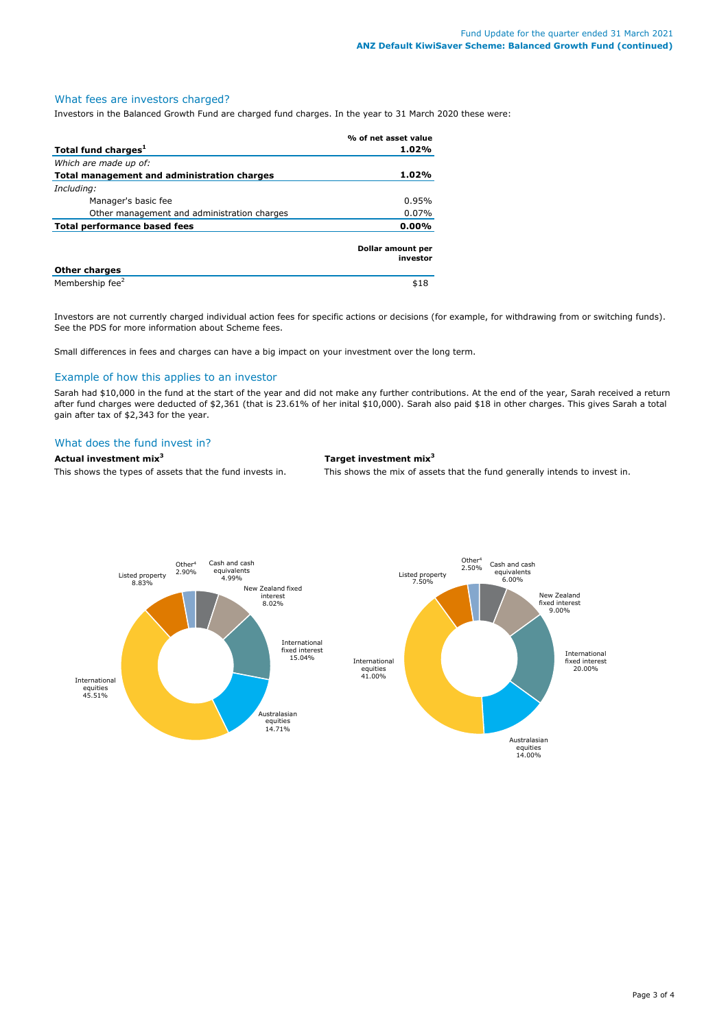## What fees are investors charged?

Investors in the Balanced Growth Fund are charged fund charges. In the year to 31 March 2020 these were:

|                                             | % of net asset value          |  |
|---------------------------------------------|-------------------------------|--|
| Total fund charges <sup>1</sup>             | 1.02%                         |  |
| Which are made up of:                       |                               |  |
| Total management and administration charges | 1.02%                         |  |
| Including:                                  |                               |  |
| Manager's basic fee                         | 0.95%                         |  |
| Other management and administration charges | $0.07\%$                      |  |
| <b>Total performance based fees</b>         | 0.00%                         |  |
|                                             | Dollar amount per<br>investor |  |
| <b>Other charges</b>                        |                               |  |
| Membership fee <sup>2</sup>                 | \$18                          |  |

Investors are not currently charged individual action fees for specific actions or decisions (for example, for withdrawing from or switching funds). See the PDS for more information about Scheme fees.

Small differences in fees and charges can have a big impact on your investment over the long term.

## Example of how this applies to an investor

Sarah had \$10,000 in the fund at the start of the year and did not make any further contributions. At the end of the year, Sarah received a return after fund charges were deducted of \$2,361 (that is 23.61% of her inital \$10,000). Sarah also paid \$18 in other charges. This gives Sarah a total gain after tax of \$2,343 for the year.

## What does the fund invest in?

**Actual investment mix<sup>3</sup> <b>Target investment mix**<sup>3</sup> This shows the types of assets that the fund invests in. This shows the mix of assets

This shows the mix of assets that the fund generally intends to invest in.